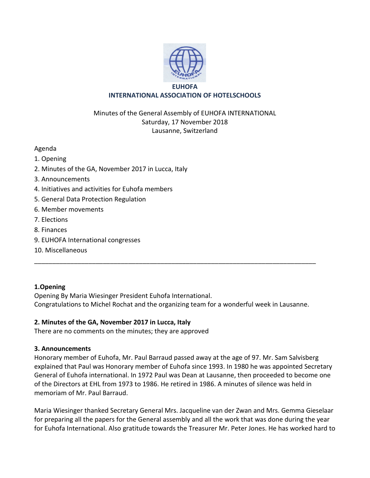

# **INTERNATIONAL ASSOCIATION OF HOTELSCHOOLS**

## Minutes of the General Assembly of EUHOFA INTERNATIONAL Saturday, 17 November 2018 Lausanne, Switzerland

#### Agenda

- 1. Opening
- 2. Minutes of the GA, November 2017 in Lucca, Italy
- 3. Announcements
- 4. Initiatives and activities for Euhofa members
- 5. General Data Protection Regulation
- 6. Member movements
- 7. Elections
- 8. Finances
- 9. EUHOFA International congresses
- 10. Miscellaneous

## **1.Opening**

Opening By Maria Wiesinger President Euhofa International. Congratulations to Michel Rochat and the organizing team for a wonderful week in Lausanne.

\_\_\_\_\_\_\_\_\_\_\_\_\_\_\_\_\_\_\_\_\_\_\_\_\_\_\_\_\_\_\_\_\_\_\_\_\_\_\_\_\_\_\_\_\_\_\_\_\_\_\_\_\_\_\_\_\_\_\_\_\_\_\_\_\_\_\_\_\_\_\_\_\_\_\_\_\_\_

## **2. Minutes of the GA, November 2017 in Lucca, Italy**

There are no comments on the minutes; they are approved

#### **3. Announcements**

Honorary member of Euhofa, Mr. Paul Barraud passed away at the age of 97. Mr. Sam Salvisberg explained that Paul was Honorary member of Euhofa since 1993. In 1980 he was appointed Secretary General of Euhofa international. In 1972 Paul was Dean at Lausanne, then proceeded to become one of the Directors at EHL from 1973 to 1986. He retired in 1986. A minutes of silence was held in memoriam of Mr. Paul Barraud.

Maria Wiesinger thanked Secretary General Mrs. Jacqueline van der Zwan and Mrs. Gemma Gieselaar for preparing all the papers for the General assembly and all the work that was done during the year for Euhofa International. Also gratitude towards the Treasurer Mr. Peter Jones. He has worked hard to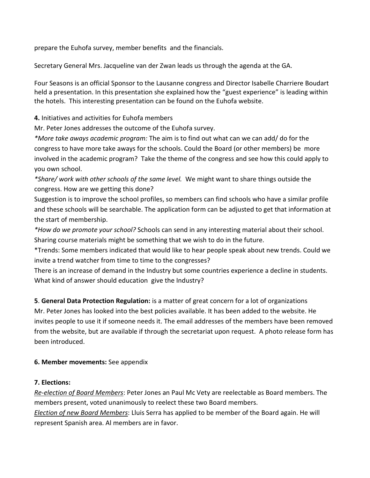prepare the Euhofa survey, member benefits and the financials.

Secretary General Mrs. Jacqueline van der Zwan leads us through the agenda at the GA.

Four Seasons is an official Sponsor to the Lausanne congress and Director Isabelle Charriere Boudart held a presentation. In this presentation she explained how the "guest experience" is leading within the hotels. This interesting presentation can be found on the Euhofa website.

**4.** Initiatives and activities for Euhofa members

Mr. Peter Jones addresses the outcome of the Euhofa survey.

*\*More take aways academic program:* The aim is to find out what can we can add/ do for the congress to have more take aways for the schools. Could the Board (or other members) be more involved in the academic program? Take the theme of the congress and see how this could apply to you own school.

*\*Share/ work with other schools of the same level.* We might want to share things outside the congress. How are we getting this done?

Suggestion is to improve the school profiles, so members can find schools who have a similar profile and these schools will be searchable. The application form can be adjusted to get that information at the start of membership.

*\*How do we promote your school?* Schools can send in any interesting material about their school. Sharing course materials might be something that we wish to do in the future.

\*Trends: Some members indicated that would like to hear people speak about new trends. Could we invite a trend watcher from time to time to the congresses?

There is an increase of demand in the Industry but some countries experience a decline in students. What kind of answer should education give the Industry?

## **5**. **General Data Protection Regulation:** is a matter of great concern for a lot of organizations

Mr. Peter Jones has looked into the best policies available. It has been added to the website. He invites people to use it if someone needs it. The email addresses of the members have been removed from the website, but are available if through the secretariat upon request. A photo release form has been introduced.

## **6. Member movements:** See appendix

## **7. Elections:**

*Re-election of Board Members*: Peter Jones an Paul Mc Vety are reelectable as Board members. The members present, voted unanimously to reelect these two Board members.

*Election of new Board Members*: Lluis Serra has applied to be member of the Board again. He will represent Spanish area. Al members are in favor.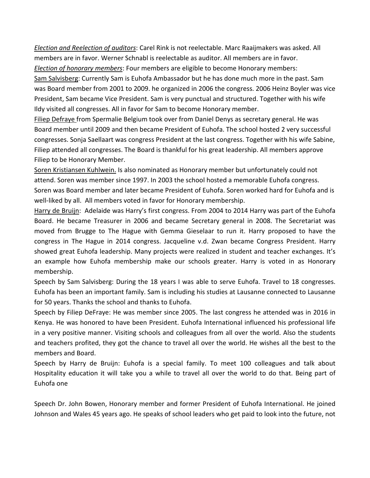*Election and Reelection of auditors*: Carel Rink is not reelectable. Marc Raaijmakers was asked. All members are in favor. Werner Schnabl is reelectable as auditor. All members are in favor. *Election of honorary members*: Four members are eligible to become Honorary members:

Sam Salvisberg: Currently Sam is Euhofa Ambassador but he has done much more in the past. Sam was Board member from 2001 to 2009. he organized in 2006 the congress. 2006 Heinz Boyler was vice President, Sam became Vice President. Sam is very punctual and structured. Together with his wife Ildy visited all congresses. All in favor for Sam to become Honorary member.

Filiep Defraye from Spermalie Belgium took over from Daniel Denys as secretary general. He was Board member until 2009 and then became President of Euhofa. The school hosted 2 very successful congresses. Sonja Saellaart was congress President at the last congress. Together with his wife Sabine, Filiep attended all congresses. The Board is thankful for his great leadership. All members approve Filiep to be Honorary Member.

Soren Kristiansen Kuhlwein. Is also nominated as Honorary member but unfortunately could not attend. Soren was member since 1997. In 2003 the school hosted a memorable Euhofa congress. Soren was Board member and later became President of Euhofa. Soren worked hard for Euhofa and is well-liked by all. All members voted in favor for Honorary membership.

Harry de Bruijn: Adelaide was Harry's first congress. From 2004 to 2014 Harry was part of the Euhofa Board. He became Treasurer in 2006 and became Secretary general in 2008. The Secretariat was moved from Brugge to The Hague with Gemma Gieselaar to run it. Harry proposed to have the congress in The Hague in 2014 congress. Jacqueline v.d. Zwan became Congress President. Harry showed great Euhofa leadership. Many projects were realized in student and teacher exchanges. It's an example how Euhofa membership make our schools greater. Harry is voted in as Honorary membership.

Speech by Sam Salvisberg: During the 18 years I was able to serve Euhofa. Travel to 18 congresses. Euhofa has been an important family. Sam is including his studies at Lausanne connected to Lausanne for 50 years. Thanks the school and thanks to Euhofa.

Speech by Filiep DeFraye: He was member since 2005. The last congress he attended was in 2016 in Kenya. He was honored to have been President. Euhofa International influenced his professional life in a very positive manner. Visiting schools and colleagues from all over the world. Also the students and teachers profited, they got the chance to travel all over the world. He wishes all the best to the members and Board.

Speech by Harry de Bruijn: Euhofa is a special family. To meet 100 colleagues and talk about Hospitality education it will take you a while to travel all over the world to do that. Being part of Euhofa one

Speech Dr. John Bowen, Honorary member and former President of Euhofa International. He joined Johnson and Wales 45 years ago. He speaks of school leaders who get paid to look into the future, not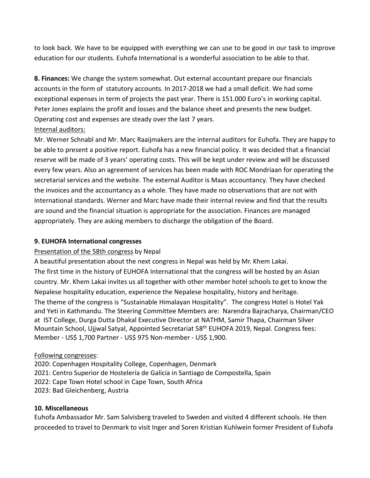to look back. We have to be equipped with everything we can use to be good in our task to improve education for our students. Euhofa International is a wonderful association to be able to that.

**8. Finances:** We change the system somewhat. Out external accountant prepare our financials accounts in the form of statutory accounts. In 2017-2018 we had a small deficit. We had some exceptional expenses in term of projects the past year. There is 151.000 Euro's in working capital. Peter Jones explains the profit and losses and the balance sheet and presents the new budget. Operating cost and expenses are steady over the last 7 years.

## Internal auditors:

Mr. Werner Schnabl and Mr. Marc Raaijmakers are the internal auditors for Euhofa. They are happy to be able to present a positive report. Euhofa has a new financial policy. It was decided that a financial reserve will be made of 3 years' operating costs. This will be kept under review and will be discussed every few years. Also an agreement of services has been made with ROC Mondriaan for operating the secretarial services and the website. The external Auditor is Maas accountancy. They have checked the invoices and the accountancy as a whole. They have made no observations that are not with International standards. Werner and Marc have made their internal review and find that the results are sound and the financial situation is appropriate for the association. Finances are managed appropriately. They are asking members to discharge the obligation of the Board.

#### **9. EUHOFA International congresses**

## Presentation of the 58th congress by Nepal

A beautiful presentation about the next congress in Nepal was held by Mr. Khem Lakai. The first time in the history of EUHOFA International that the congress will be hosted by an Asian country. Mr. Khem Lakai invites us all together with other member hotel schools to get to know the Nepalese hospitality education, experience the Nepalese hospitality, history and heritage. The theme of the congress is "Sustainable Himalayan Hospitality". The congress Hotel is Hotel Yak and Yeti in Kathmandu. The Steering Committee Members are: Narendra Bajracharya, Chairman/CEO at IST College, Durga Dutta Dhakal Executive Director at NATHM, Samir Thapa, Chairman Silver Mountain School, Ujjwal Satyal, Appointed Secretariat 58<sup>th</sup> EUHOFA 2019, Nepal. Congress fees: Member - US\$ 1,700 Partner - US\$ 975 Non-member - US\$ 1,900.

## Following congresses:

2020: Copenhagen Hospitality College, Copenhagen, Denmark 2021: Centro Superior de Hostelería de Galicia in Santiago de Compostella, Spain 2022: Cape Town Hotel school in Cape Town, South Africa 2023: Bad Gleichenberg, Austria

## **10. Miscellaneous**

Euhofa Ambassador Mr. Sam Salvisberg traveled to Sweden and visited 4 different schools. He then proceeded to travel to Denmark to visit Inger and Soren Kristian Kuhlwein former President of Euhofa